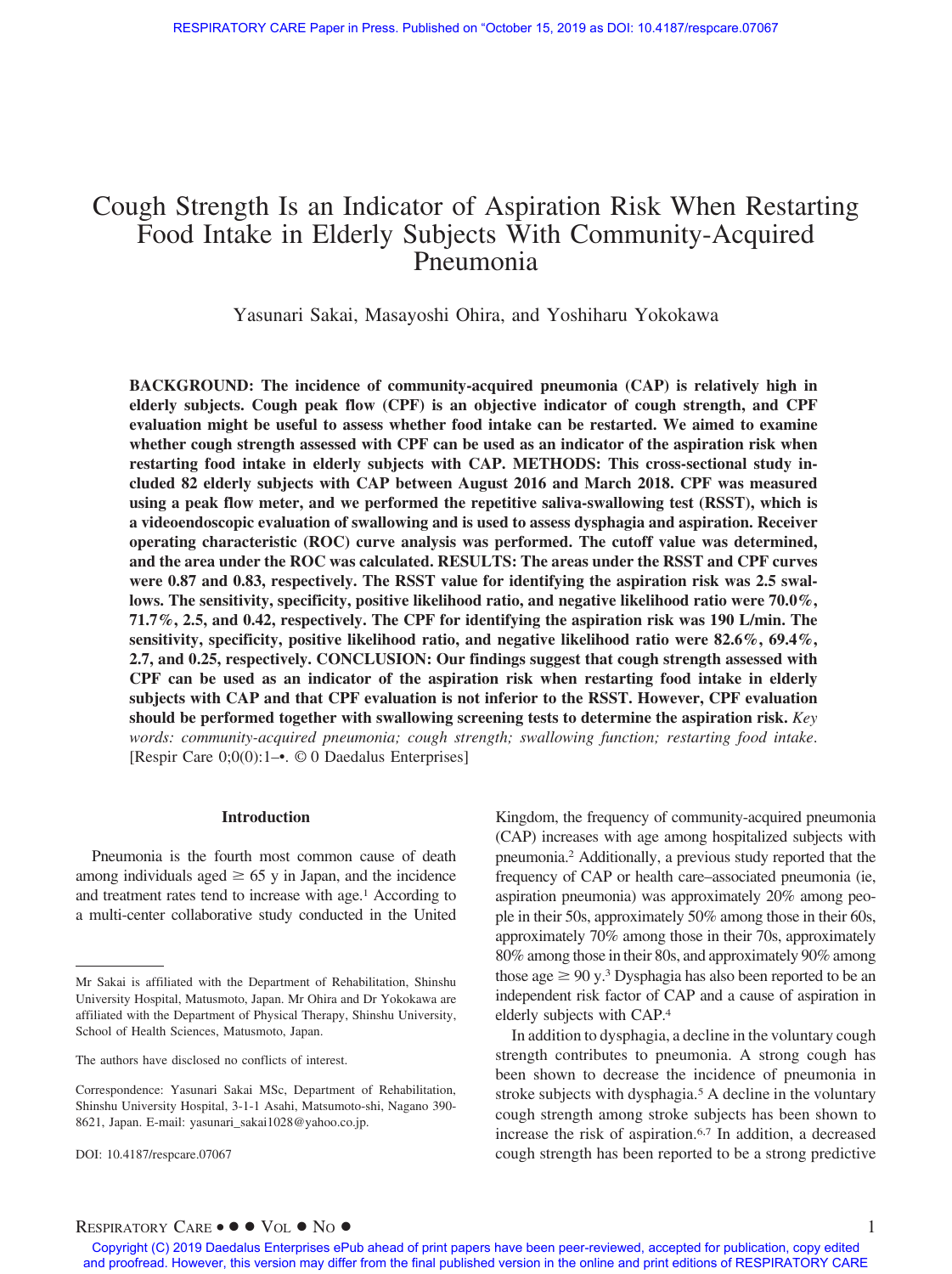# Cough Strength Is an Indicator of Aspiration Risk When Restarting Food Intake in Elderly Subjects With Community-Acquired Pneumonia

Yasunari Sakai, Masayoshi Ohira, and Yoshiharu Yokokawa

**BACKGROUND: The incidence of community-acquired pneumonia (CAP) is relatively high in elderly subjects. Cough peak flow (CPF) is an objective indicator of cough strength, and CPF evaluation might be useful to assess whether food intake can be restarted. We aimed to examine whether cough strength assessed with CPF can be used as an indicator of the aspiration risk when restarting food intake in elderly subjects with CAP. METHODS: This cross-sectional study included 82 elderly subjects with CAP between August 2016 and March 2018. CPF was measured using a peak flow meter, and we performed the repetitive saliva-swallowing test (RSST), which is a videoendoscopic evaluation of swallowing and is used to assess dysphagia and aspiration. Receiver operating characteristic (ROC) curve analysis was performed. The cutoff value was determined, and the area under the ROC was calculated. RESULTS: The areas under the RSST and CPF curves** were 0.87 and 0.83, respectively. The RSST value for identifying the aspiration risk was 2.5 swal**lows. The sensitivity, specificity, positive likelihood ratio, and negative likelihood ratio were 70.0%, 71.7%, 2.5, and 0.42, respectively. The CPF for identifying the aspiration risk was 190 L/min. The sensitivity, specificity, positive likelihood ratio, and negative likelihood ratio were 82.6%, 69.4%, 2.7, and 0.25, respectively. CONCLUSION: Our findings suggest that cough strength assessed with CPF can be used as an indicator of the aspiration risk when restarting food intake in elderly subjects with CAP and that CPF evaluation is not inferior to the RSST. However, CPF evaluation should be performed together with swallowing screening tests to determine the aspiration risk.** *Key words: community-acquired pneumonia; cough strength; swallowing function; restarting food intake*. [Respir Care 0;0(0):1–•. © 0 Daedalus Enterprises]

## **Introduction**

Pneumonia is the fourth most common cause of death among individuals aged  $\geq 65$  y in Japan, and the incidence and treatment rates tend to increase with age.<sup>1</sup> According to a multi-center collaborative study conducted in the United

The authors have disclosed no conflicts of interest.

Kingdom, the frequency of community-acquired pneumonia (CAP) increases with age among hospitalized subjects with pneumonia.2 Additionally, a previous study reported that the frequency of CAP or health care–associated pneumonia (ie, aspiration pneumonia) was approximately 20% among people in their 50s, approximately 50% among those in their 60s, approximately 70% among those in their 70s, approximately 80% among those in their 80s, and approximately 90% among those age  $\geq 90$  y.<sup>3</sup> Dysphagia has also been reported to be an independent risk factor of CAP and a cause of aspiration in elderly subjects with CAP.4

In addition to dysphagia, a decline in the voluntary cough strength contributes to pneumonia. A strong cough has been shown to decrease the incidence of pneumonia in stroke subjects with dysphagia.5 A decline in the voluntary cough strength among stroke subjects has been shown to increase the risk of aspiration.6,7 In addition, a decreased cough strength has been reported to be a strong predictive

Mr Sakai is affiliated with the Department of Rehabilitation, Shinshu University Hospital, Matusmoto, Japan. Mr Ohira and Dr Yokokawa are affiliated with the Department of Physical Therapy, Shinshu University, School of Health Sciences, Matusmoto, Japan.

Correspondence: Yasunari Sakai MSc, Department of Rehabilitation, Shinshu University Hospital, 3-1-1 Asahi, Matsumoto-shi, Nagano 390- 8621, Japan. E-mail: yasunari\_sakai1028@yahoo.co.jp.

DOI: 10.4187/respcare.07067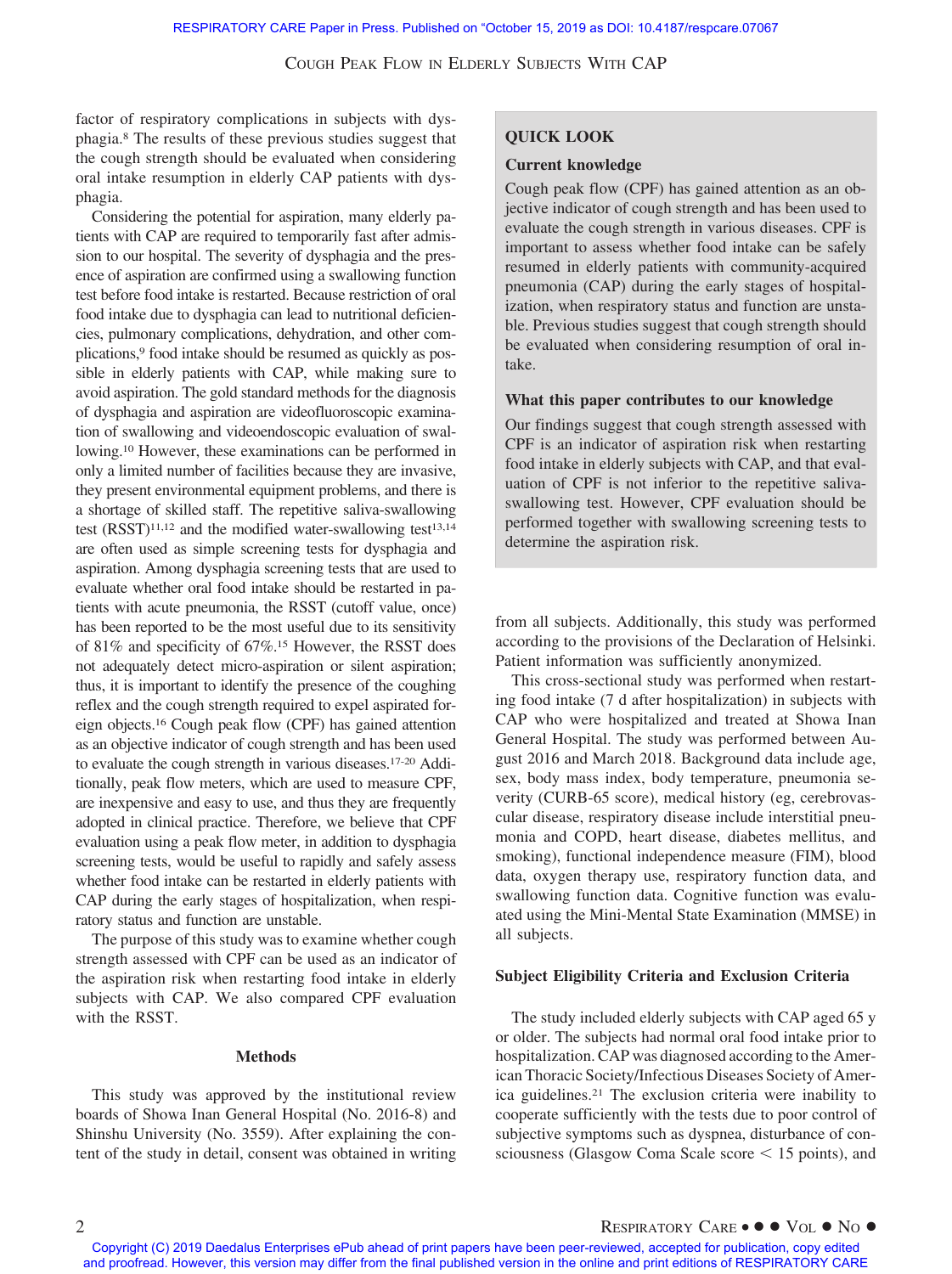factor of respiratory complications in subjects with dysphagia.8 The results of these previous studies suggest that the cough strength should be evaluated when considering oral intake resumption in elderly CAP patients with dysphagia.

Considering the potential for aspiration, many elderly patients with CAP are required to temporarily fast after admission to our hospital. The severity of dysphagia and the presence of aspiration are confirmed using a swallowing function test before food intake is restarted. Because restriction of oral food intake due to dysphagia can lead to nutritional deficiencies, pulmonary complications, dehydration, and other complications,<sup>9</sup> food intake should be resumed as quickly as possible in elderly patients with CAP, while making sure to avoid aspiration. The gold standard methods for the diagnosis of dysphagia and aspiration are videofluoroscopic examination of swallowing and videoendoscopic evaluation of swallowing.10 However, these examinations can be performed in only a limited number of facilities because they are invasive, they present environmental equipment problems, and there is a shortage of skilled staff. The repetitive saliva-swallowing test  $(RSST)^{11,12}$  and the modified water-swallowing test<sup>13,14</sup> are often used as simple screening tests for dysphagia and aspiration. Among dysphagia screening tests that are used to evaluate whether oral food intake should be restarted in patients with acute pneumonia, the RSST (cutoff value, once) has been reported to be the most useful due to its sensitivity of 81% and specificity of 67%.15 However, the RSST does not adequately detect micro-aspiration or silent aspiration; thus, it is important to identify the presence of the coughing reflex and the cough strength required to expel aspirated foreign objects.16 Cough peak flow (CPF) has gained attention as an objective indicator of cough strength and has been used to evaluate the cough strength in various diseases.17-20 Additionally, peak flow meters, which are used to measure CPF, are inexpensive and easy to use, and thus they are frequently adopted in clinical practice. Therefore, we believe that CPF evaluation using a peak flow meter, in addition to dysphagia screening tests, would be useful to rapidly and safely assess whether food intake can be restarted in elderly patients with CAP during the early stages of hospitalization, when respiratory status and function are unstable.

The purpose of this study was to examine whether cough strength assessed with CPF can be used as an indicator of the aspiration risk when restarting food intake in elderly subjects with CAP. We also compared CPF evaluation with the RSST.

### **Methods**

This study was approved by the institutional review boards of Showa Inan General Hospital (No. 2016-8) and Shinshu University (No. 3559). After explaining the content of the study in detail, consent was obtained in writing

# **QUICK LOOK**

#### **Current knowledge**

Cough peak flow (CPF) has gained attention as an objective indicator of cough strength and has been used to evaluate the cough strength in various diseases. CPF is important to assess whether food intake can be safely resumed in elderly patients with community-acquired pneumonia (CAP) during the early stages of hospitalization, when respiratory status and function are unstable. Previous studies suggest that cough strength should be evaluated when considering resumption of oral intake.

## **What this paper contributes to our knowledge**

Our findings suggest that cough strength assessed with CPF is an indicator of aspiration risk when restarting food intake in elderly subjects with CAP, and that evaluation of CPF is not inferior to the repetitive salivaswallowing test. However, CPF evaluation should be performed together with swallowing screening tests to determine the aspiration risk.

from all subjects. Additionally, this study was performed according to the provisions of the Declaration of Helsinki. Patient information was sufficiently anonymized.

This cross-sectional study was performed when restarting food intake (7 d after hospitalization) in subjects with CAP who were hospitalized and treated at Showa Inan General Hospital. The study was performed between August 2016 and March 2018. Background data include age, sex, body mass index, body temperature, pneumonia severity (CURB-65 score), medical history (eg, cerebrovascular disease, respiratory disease include interstitial pneumonia and COPD, heart disease, diabetes mellitus, and smoking), functional independence measure (FIM), blood data, oxygen therapy use, respiratory function data, and swallowing function data. Cognitive function was evaluated using the Mini-Mental State Examination (MMSE) in all subjects.

#### **Subject Eligibility Criteria and Exclusion Criteria**

The study included elderly subjects with CAP aged 65 y or older. The subjects had normal oral food intake prior to hospitalization. CAP was diagnosed according to the American Thoracic Society/Infectious Diseases Society of America guidelines.21 The exclusion criteria were inability to cooperate sufficiently with the tests due to poor control of subjective symptoms such as dyspnea, disturbance of consciousness (Glasgow Coma Scale score  $\leq$  15 points), and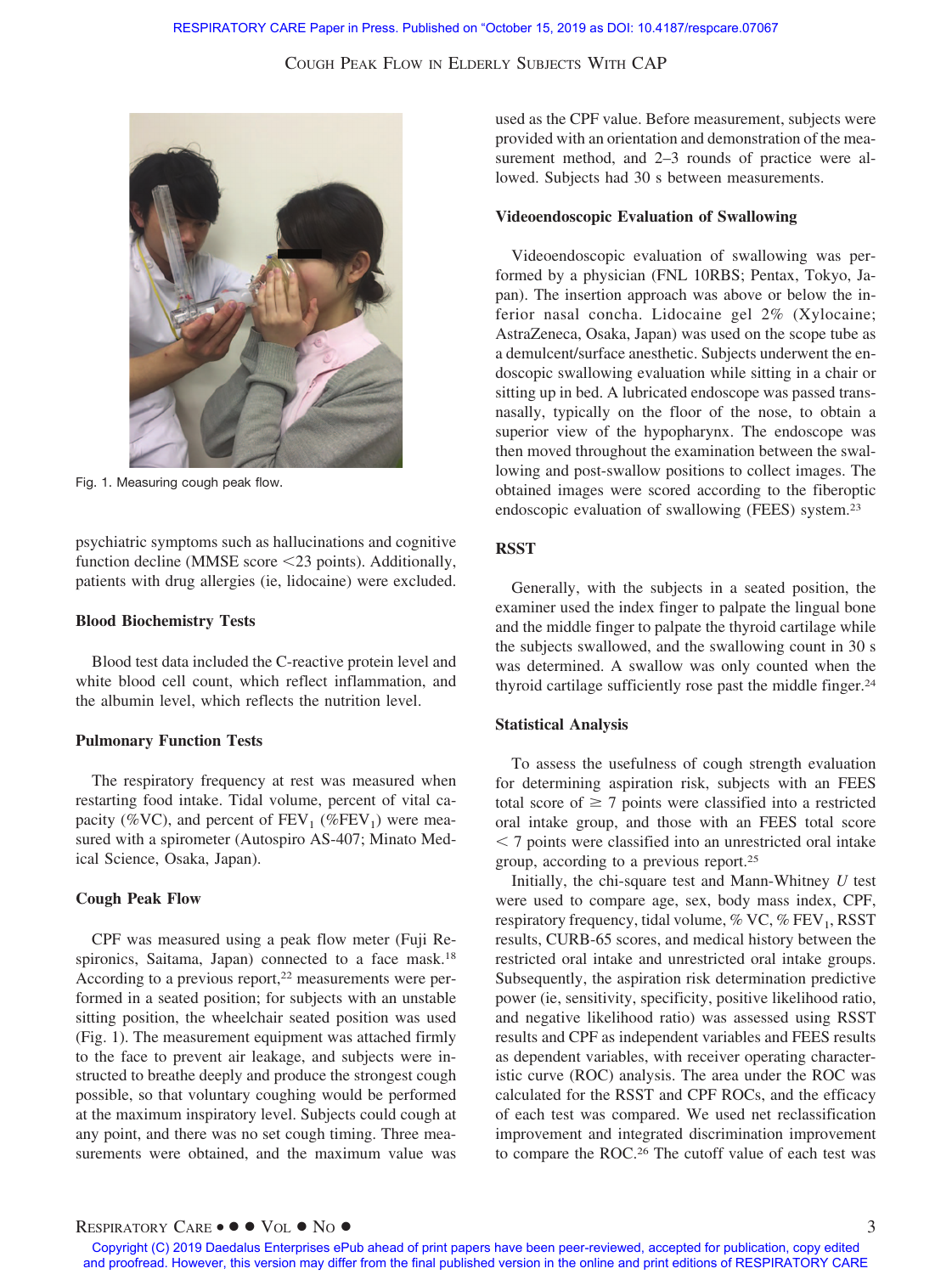

Fig. 1. Measuring cough peak flow.

psychiatric symptoms such as hallucinations and cognitive function decline (MMSE score <23 points). Additionally, patients with drug allergies (ie, lidocaine) were excluded.

#### **Blood Biochemistry Tests**

Blood test data included the C-reactive protein level and white blood cell count, which reflect inflammation, and the albumin level, which reflects the nutrition level.

#### **Pulmonary Function Tests**

The respiratory frequency at rest was measured when restarting food intake. Tidal volume, percent of vital capacity (%VC), and percent of  $FEV_1$  (%FEV<sub>1</sub>) were measured with a spirometer (Autospiro AS-407; Minato Medical Science, Osaka, Japan).

# **Cough Peak Flow**

CPF was measured using a peak flow meter (Fuji Respironics, Saitama, Japan) connected to a face mask.<sup>18</sup> According to a previous report,<sup>22</sup> measurements were performed in a seated position; for subjects with an unstable sitting position, the wheelchair seated position was used (Fig. 1). The measurement equipment was attached firmly to the face to prevent air leakage, and subjects were instructed to breathe deeply and produce the strongest cough possible, so that voluntary coughing would be performed at the maximum inspiratory level. Subjects could cough at any point, and there was no set cough timing. Three measurements were obtained, and the maximum value was used as the CPF value. Before measurement, subjects were provided with an orientation and demonstration of the measurement method, and 2–3 rounds of practice were allowed. Subjects had 30 s between measurements.

## **Videoendoscopic Evaluation of Swallowing**

Videoendoscopic evaluation of swallowing was performed by a physician (FNL 10RBS; Pentax, Tokyo, Japan). The insertion approach was above or below the inferior nasal concha. Lidocaine gel 2% (Xylocaine; AstraZeneca, Osaka, Japan) was used on the scope tube as a demulcent/surface anesthetic. Subjects underwent the endoscopic swallowing evaluation while sitting in a chair or sitting up in bed. A lubricated endoscope was passed transnasally, typically on the floor of the nose, to obtain a superior view of the hypopharynx. The endoscope was then moved throughout the examination between the swallowing and post-swallow positions to collect images. The obtained images were scored according to the fiberoptic endoscopic evaluation of swallowing (FEES) system.23

# **RSST**

Generally, with the subjects in a seated position, the examiner used the index finger to palpate the lingual bone and the middle finger to palpate the thyroid cartilage while the subjects swallowed, and the swallowing count in 30 s was determined. A swallow was only counted when the thyroid cartilage sufficiently rose past the middle finger.24

## **Statistical Analysis**

To assess the usefulness of cough strength evaluation for determining aspiration risk, subjects with an FEES total score of  $\geq 7$  points were classified into a restricted oral intake group, and those with an FEES total score - 7 points were classified into an unrestricted oral intake group, according to a previous report.25

Initially, the chi-square test and Mann-Whitney *U* test were used to compare age, sex, body mass index, CPF, respiratory frequency, tidal volume,  $\%$  VC,  $\%$  FEV<sub>1</sub>, RSST results, CURB-65 scores, and medical history between the restricted oral intake and unrestricted oral intake groups. Subsequently, the aspiration risk determination predictive power (ie, sensitivity, specificity, positive likelihood ratio, and negative likelihood ratio) was assessed using RSST results and CPF as independent variables and FEES results as dependent variables, with receiver operating characteristic curve (ROC) analysis. The area under the ROC was calculated for the RSST and CPF ROCs, and the efficacy of each test was compared. We used net reclassification improvement and integrated discrimination improvement to compare the ROC.26 The cutoff value of each test was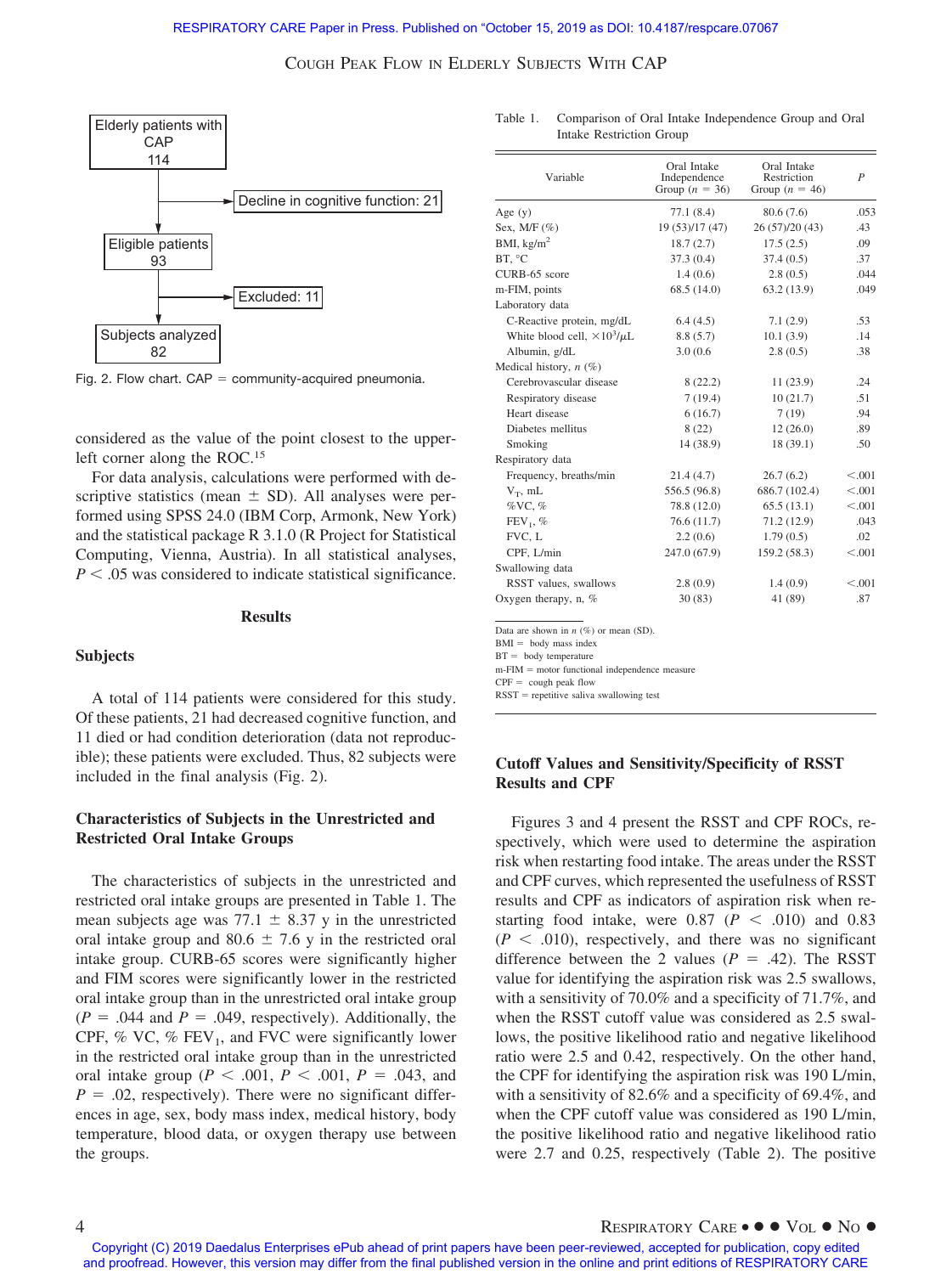

Fig. 2. Flow chart.  $CAP = community-acquired$  pneumonia.

considered as the value of the point closest to the upperleft corner along the ROC.15

For data analysis, calculations were performed with descriptive statistics (mean  $\pm$  SD). All analyses were performed using SPSS 24.0 (IBM Corp, Armonk, New York) and the statistical package R 3.1.0 (R Project for Statistical Computing, Vienna, Austria). In all statistical analyses,  $P < .05$  was considered to indicate statistical significance.

#### **Results**

#### **Subjects**

A total of 114 patients were considered for this study. Of these patients, 21 had decreased cognitive function, and 11 died or had condition deterioration (data not reproducible); these patients were excluded. Thus, 82 subjects were included in the final analysis (Fig. 2).

# **Characteristics of Subjects in the Unrestricted and Restricted Oral Intake Groups**

The characteristics of subjects in the unrestricted and restricted oral intake groups are presented in Table 1. The mean subjects age was 77.1  $\pm$  8.37 y in the unrestricted oral intake group and  $80.6 \pm 7.6$  y in the restricted oral intake group. CURB-65 scores were significantly higher and FIM scores were significantly lower in the restricted oral intake group than in the unrestricted oral intake group  $(P = .044$  and  $P = .049$ , respectively). Additionally, the CPF, % VC, %  $FEV_1$ , and FVC were significantly lower in the restricted oral intake group than in the unrestricted oral intake group ( $P < .001$ ,  $P < .001$ ,  $P = .043$ , and  $P = 0.02$ , respectively). There were no significant differences in age, sex, body mass index, medical history, body temperature, blood data, or oxygen therapy use between the groups.

Table 1. Comparison of Oral Intake Independence Group and Oral Intake Restriction Group

| Variable                              | Oral Intake<br>Independence<br>Group $(n = 36)$ | Oral Intake<br>Restriction<br>Group $(n = 46)$ | $\boldsymbol{P}$ |  |
|---------------------------------------|-------------------------------------------------|------------------------------------------------|------------------|--|
|                                       |                                                 |                                                |                  |  |
| Age $(y)$                             | 77.1(8.4)                                       | 80.6 (7.6)                                     | .053             |  |
| Sex, $M/F$ (%)                        | 19 (53)/17 (47)                                 | 26 (57)/20 (43)                                | .43              |  |
| BMI, $kg/m2$                          | 18.7(2.7)                                       | 17.5(2.5)                                      | .09              |  |
| BT, °C                                | 37.3(0.4)                                       | 37.4(0.5)                                      | .37              |  |
| CURB-65 score                         | 1.4(0.6)                                        | 2.8(0.5)                                       | .044             |  |
| m-FIM, points                         | 68.5(14.0)                                      | 63.2(13.9)                                     | .049             |  |
| Laboratory data                       |                                                 |                                                |                  |  |
| C-Reactive protein, mg/dL             | 6.4(4.5)                                        | 7.1(2.9)                                       | .53              |  |
| White blood cell, $\times 10^3/\mu L$ | 8.8(5.7)                                        | 10.1(3.9)                                      | .14              |  |
| Albumin, g/dL                         | 3.0(0.6)                                        | 2.8(0.5)                                       | .38              |  |
| Medical history, $n(\%)$              |                                                 |                                                |                  |  |
| Cerebrovascular disease               | 8(22.2)                                         | 11(23.9)                                       | .24              |  |
| Respiratory disease                   | 7(19.4)                                         | 10(21.7)                                       | .51              |  |
| Heart disease                         | 6(16.7)                                         | 7(19)                                          | .94              |  |
| Diabetes mellitus                     | 8(22)                                           | 12(26.0)                                       | .89              |  |
| Smoking                               | 14 (38.9)                                       | 18 (39.1)                                      | .50              |  |
| Respiratory data                      |                                                 |                                                |                  |  |
| Frequency, breaths/min                | 21.4(4.7)                                       | 26.7(6.2)                                      | < 0.001          |  |
| $V_T$ , mL                            | 556.5 (96.8)                                    | 686.7 (102.4)                                  | < 0.001          |  |
| $\%$ VC, $\%$                         | 78.8 (12.0)                                     | 65.5(13.1)                                     | < 0.001          |  |
| $FEV1$ , %                            | 76.6(11.7)                                      | 71.2(12.9)                                     | .043             |  |
| FVC, L                                | 2.2(0.6)                                        | 1.79(0.5)                                      | .02              |  |
| CPF, L/min                            | 247.0 (67.9)                                    | 159.2 (58.3)                                   | < 0.001          |  |
| Swallowing data                       |                                                 |                                                |                  |  |
| RSST values, swallows                 | 2.8(0.9)                                        | 1.4(0.9)                                       | < 0.001          |  |
| Oxygen therapy, $n, \%$               | 30(83)                                          | 41 (89)                                        | .87              |  |
|                                       |                                                 |                                                |                  |  |

Data are shown in *n* (%) or mean (SD).

 $BMI = body mass index$ 

 $BT =$  body temperature

 $m$ -FIM = motor functional independence measure

 $CPF = \text{cough peak flow}$ 

 $RSST =$  repetitive saliva swallowing test

# **Cutoff Values and Sensitivity/Specificity of RSST Results and CPF**

Figures 3 and 4 present the RSST and CPF ROCs, respectively, which were used to determine the aspiration risk when restarting food intake. The areas under the RSST and CPF curves, which represented the usefulness of RSST results and CPF as indicators of aspiration risk when restarting food intake, were  $0.87$  ( $P < .010$ ) and  $0.83$  $(P \leq .010)$ , respectively, and there was no significant difference between the 2 values  $(P = .42)$ . The RSST value for identifying the aspiration risk was 2.5 swallows, with a sensitivity of 70.0% and a specificity of 71.7%, and when the RSST cutoff value was considered as 2.5 swallows, the positive likelihood ratio and negative likelihood ratio were 2.5 and 0.42, respectively. On the other hand, the CPF for identifying the aspiration risk was 190 L/min, with a sensitivity of 82.6% and a specificity of 69.4%, and when the CPF cutoff value was considered as 190 L/min, the positive likelihood ratio and negative likelihood ratio were 2.7 and 0.25, respectively (Table 2). The positive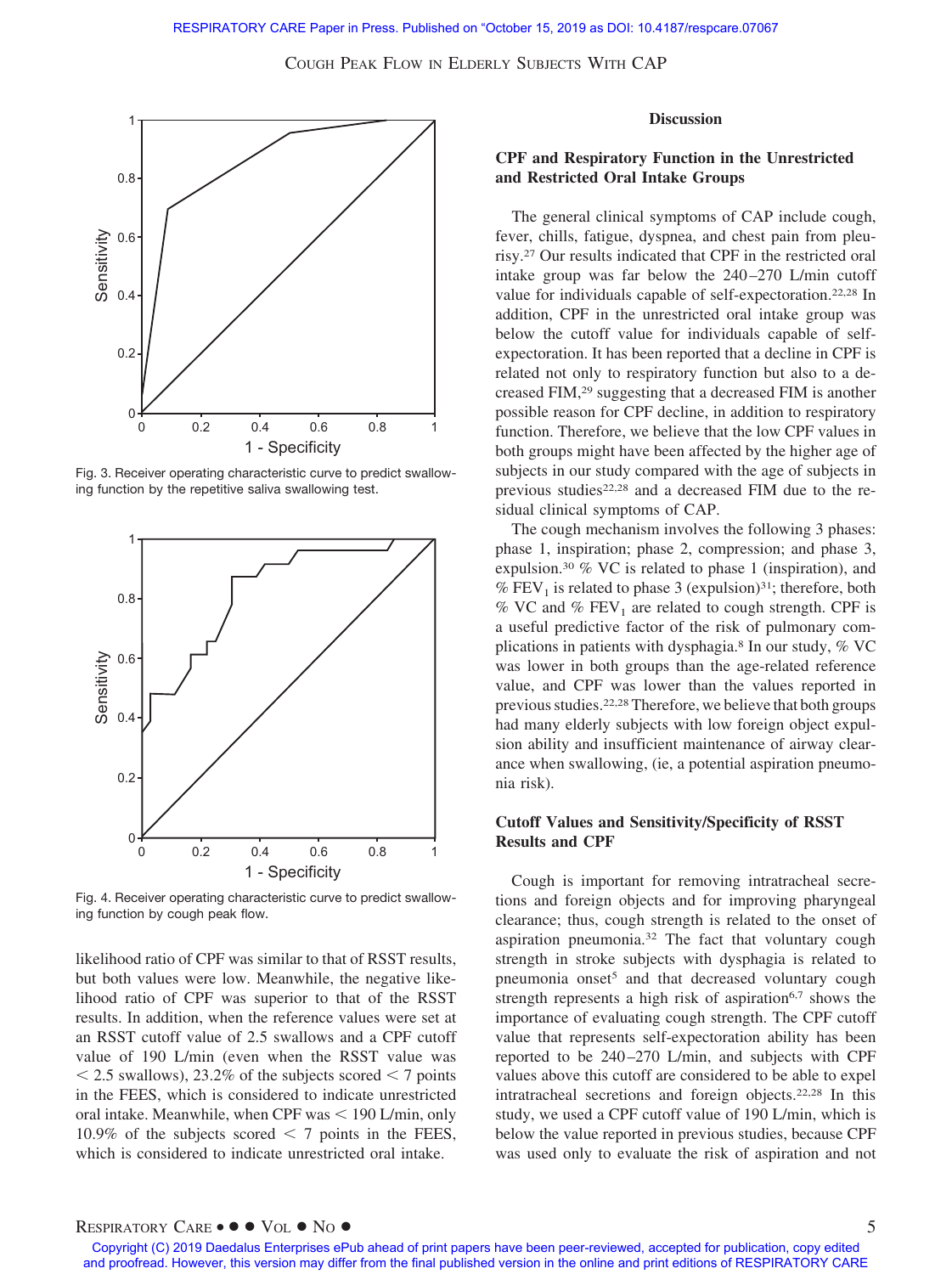

Fig. 3. Receiver operating characteristic curve to predict swallowing function by the repetitive saliva swallowing test.



Fig. 4. Receiver operating characteristic curve to predict swallowing function by cough peak flow.

likelihood ratio of CPF was similar to that of RSST results, but both values were low. Meanwhile, the negative likelihood ratio of CPF was superior to that of the RSST results. In addition, when the reference values were set at an RSST cutoff value of 2.5 swallows and a CPF cutoff value of 190 L/min (even when the RSST value was  $\leq$  2.5 swallows), 23.2% of the subjects scored  $\leq$  7 points in the FEES, which is considered to indicate unrestricted oral intake. Meanwhile, when CPF was < 190 L/min, only 10.9% of the subjects scored  $\leq$  7 points in the FEES, which is considered to indicate unrestricted oral intake.

#### **Discussion**

# **CPF and Respiratory Function in the Unrestricted and Restricted Oral Intake Groups**

The general clinical symptoms of CAP include cough, fever, chills, fatigue, dyspnea, and chest pain from pleurisy.27 Our results indicated that CPF in the restricted oral intake group was far below the  $240 - 270$  L/min cutoff value for individuals capable of self-expectoration.22,28 In addition, CPF in the unrestricted oral intake group was below the cutoff value for individuals capable of selfexpectoration. It has been reported that a decline in CPF is related not only to respiratory function but also to a decreased FIM,29 suggesting that a decreased FIM is another possible reason for CPF decline, in addition to respiratory function. Therefore, we believe that the low CPF values in both groups might have been affected by the higher age of subjects in our study compared with the age of subjects in previous studies<sup>22,28</sup> and a decreased FIM due to the residual clinical symptoms of CAP.

The cough mechanism involves the following 3 phases: phase 1, inspiration; phase 2, compression; and phase 3, expulsion.30 % VC is related to phase 1 (inspiration), and %  $FEV<sub>1</sub>$  is related to phase 3 (expulsion)<sup>31</sup>; therefore, both % VC and %  $FEV<sub>1</sub>$  are related to cough strength. CPF is a useful predictive factor of the risk of pulmonary complications in patients with dysphagia.8 In our study, % VC was lower in both groups than the age-related reference value, and CPF was lower than the values reported in previous studies.22,28Therefore, we believe that both groups had many elderly subjects with low foreign object expulsion ability and insufficient maintenance of airway clearance when swallowing, (ie, a potential aspiration pneumonia risk).

# **Cutoff Values and Sensitivity/Specificity of RSST Results and CPF**

Cough is important for removing intratracheal secretions and foreign objects and for improving pharyngeal clearance; thus, cough strength is related to the onset of aspiration pneumonia.32 The fact that voluntary cough strength in stroke subjects with dysphagia is related to pneumonia onset<sup>5</sup> and that decreased voluntary cough strength represents a high risk of aspiration<sup>6,7</sup> shows the importance of evaluating cough strength. The CPF cutoff value that represents self-expectoration ability has been reported to be 240 –270 L/min, and subjects with CPF values above this cutoff are considered to be able to expel intratracheal secretions and foreign objects.22,28 In this study, we used a CPF cutoff value of 190 L/min, which is below the value reported in previous studies, because CPF was used only to evaluate the risk of aspiration and not

# RESPIRATORY CARE • ● ● VOL ● NO ● 5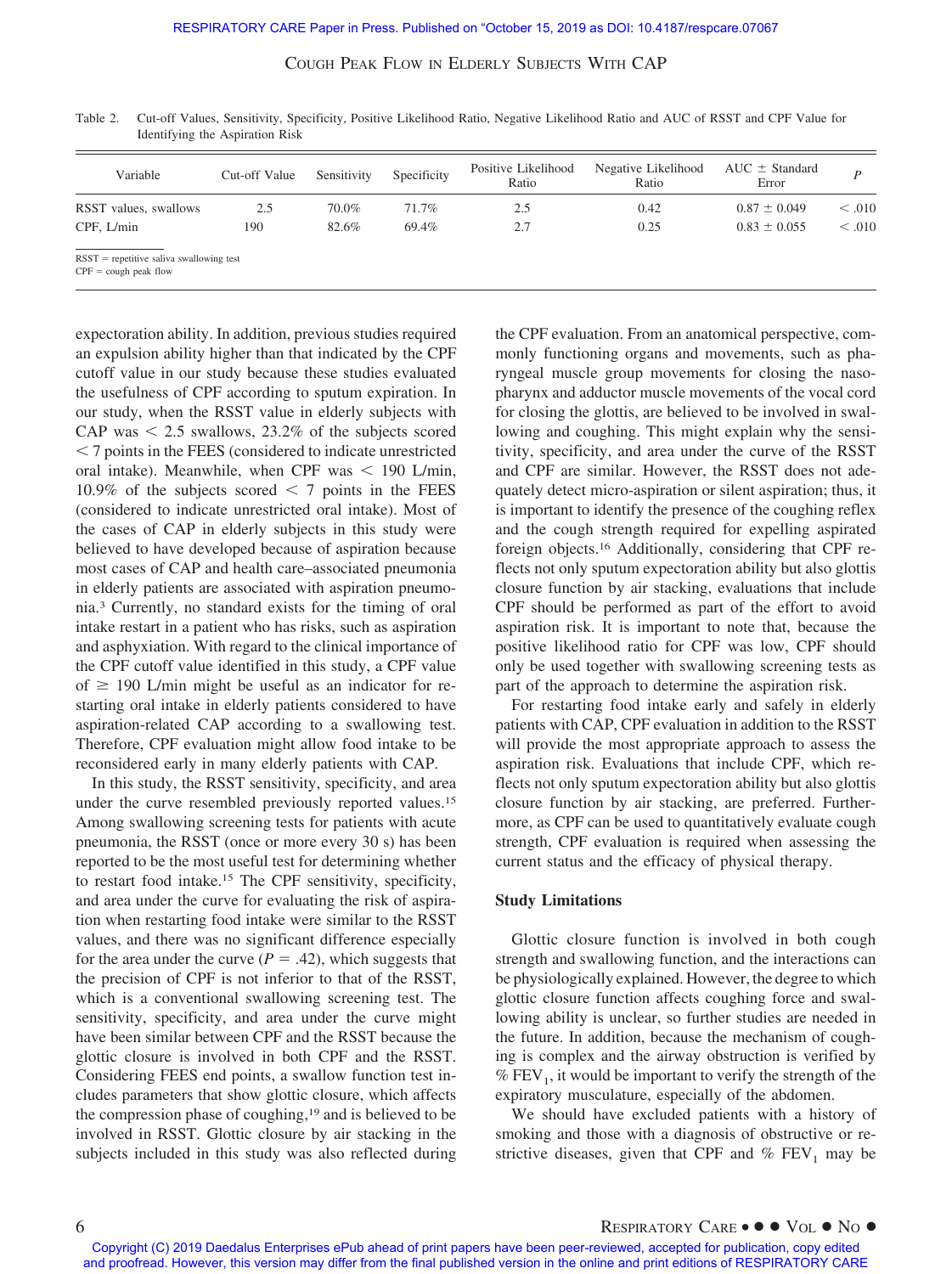| Variable              | Cut-off Value | Sensitivity | Specificity | Positive Likelihood<br>Ratio | Negative Likelihood<br>Ratio | $AUC \pm Standard$<br>Error |         |
|-----------------------|---------------|-------------|-------------|------------------------------|------------------------------|-----------------------------|---------|
| RSST values, swallows | 2.5           | 70.0%       | 71.7%       | 2.5                          | 0.42                         | $0.87 \pm 0.049$            | < 0.010 |
| CPF. L/min            | 190           | 82.6%       | 69.4%       | 2.7                          | 0.25                         | $0.83 \pm 0.055$            | < 0.010 |

Table 2. Cut-off Values, Sensitivity, Specificity, Positive Likelihood Ratio, Negative Likelihood Ratio and AUC of RSST and CPF Value for Identifying the Aspiration Risk

expectoration ability. In addition, previous studies required an expulsion ability higher than that indicated by the CPF cutoff value in our study because these studies evaluated the usefulness of CPF according to sputum expiration. In our study, when the RSST value in elderly subjects with CAP was  $\leq 2.5$  swallows, 23.2% of the subjects scored - 7 points in the FEES (considered to indicate unrestricted oral intake). Meanwhile, when CPF was  $\lt$  190 L/min, 10.9% of the subjects scored  $\leq$  7 points in the FEES (considered to indicate unrestricted oral intake). Most of the cases of CAP in elderly subjects in this study were believed to have developed because of aspiration because most cases of CAP and health care–associated pneumonia in elderly patients are associated with aspiration pneumonia.3 Currently, no standard exists for the timing of oral intake restart in a patient who has risks, such as aspiration and asphyxiation. With regard to the clinical importance of the CPF cutoff value identified in this study, a CPF value of  $\geq$  190 L/min might be useful as an indicator for restarting oral intake in elderly patients considered to have aspiration-related CAP according to a swallowing test. Therefore, CPF evaluation might allow food intake to be reconsidered early in many elderly patients with CAP.

In this study, the RSST sensitivity, specificity, and area under the curve resembled previously reported values.<sup>15</sup> Among swallowing screening tests for patients with acute pneumonia, the RSST (once or more every 30 s) has been reported to be the most useful test for determining whether to restart food intake.15 The CPF sensitivity, specificity, and area under the curve for evaluating the risk of aspiration when restarting food intake were similar to the RSST values, and there was no significant difference especially for the area under the curve  $(P = .42)$ , which suggests that the precision of CPF is not inferior to that of the RSST, which is a conventional swallowing screening test. The sensitivity, specificity, and area under the curve might have been similar between CPF and the RSST because the glottic closure is involved in both CPF and the RSST. Considering FEES end points, a swallow function test includes parameters that show glottic closure, which affects the compression phase of coughing,19 and is believed to be involved in RSST. Glottic closure by air stacking in the subjects included in this study was also reflected during the CPF evaluation. From an anatomical perspective, commonly functioning organs and movements, such as pharyngeal muscle group movements for closing the nasopharynx and adductor muscle movements of the vocal cord for closing the glottis, are believed to be involved in swallowing and coughing. This might explain why the sensitivity, specificity, and area under the curve of the RSST and CPF are similar. However, the RSST does not adequately detect micro-aspiration or silent aspiration; thus, it is important to identify the presence of the coughing reflex and the cough strength required for expelling aspirated foreign objects.16 Additionally, considering that CPF reflects not only sputum expectoration ability but also glottis closure function by air stacking, evaluations that include CPF should be performed as part of the effort to avoid aspiration risk. It is important to note that, because the positive likelihood ratio for CPF was low, CPF should only be used together with swallowing screening tests as part of the approach to determine the aspiration risk.

For restarting food intake early and safely in elderly patients with CAP, CPF evaluation in addition to the RSST will provide the most appropriate approach to assess the aspiration risk. Evaluations that include CPF, which reflects not only sputum expectoration ability but also glottis closure function by air stacking, are preferred. Furthermore, as CPF can be used to quantitatively evaluate cough strength, CPF evaluation is required when assessing the current status and the efficacy of physical therapy.

#### **Study Limitations**

Glottic closure function is involved in both cough strength and swallowing function, and the interactions can be physiologically explained. However, the degree to which glottic closure function affects coughing force and swallowing ability is unclear, so further studies are needed in the future. In addition, because the mechanism of coughing is complex and the airway obstruction is verified by  $%$  FEV<sub>1</sub>, it would be important to verify the strength of the expiratory musculature, especially of the abdomen.

We should have excluded patients with a history of smoking and those with a diagnosis of obstructive or restrictive diseases, given that CPF and  $%$  FEV<sub>1</sub> may be

Copyright (C) 2019 Daedalus Enterprises ePub ahead of print papers have been peer-reviewed, accepted for publication, copy edited and proofread. However, this version may differ from the final published version in the online and print editions of RESPIRATORY CARE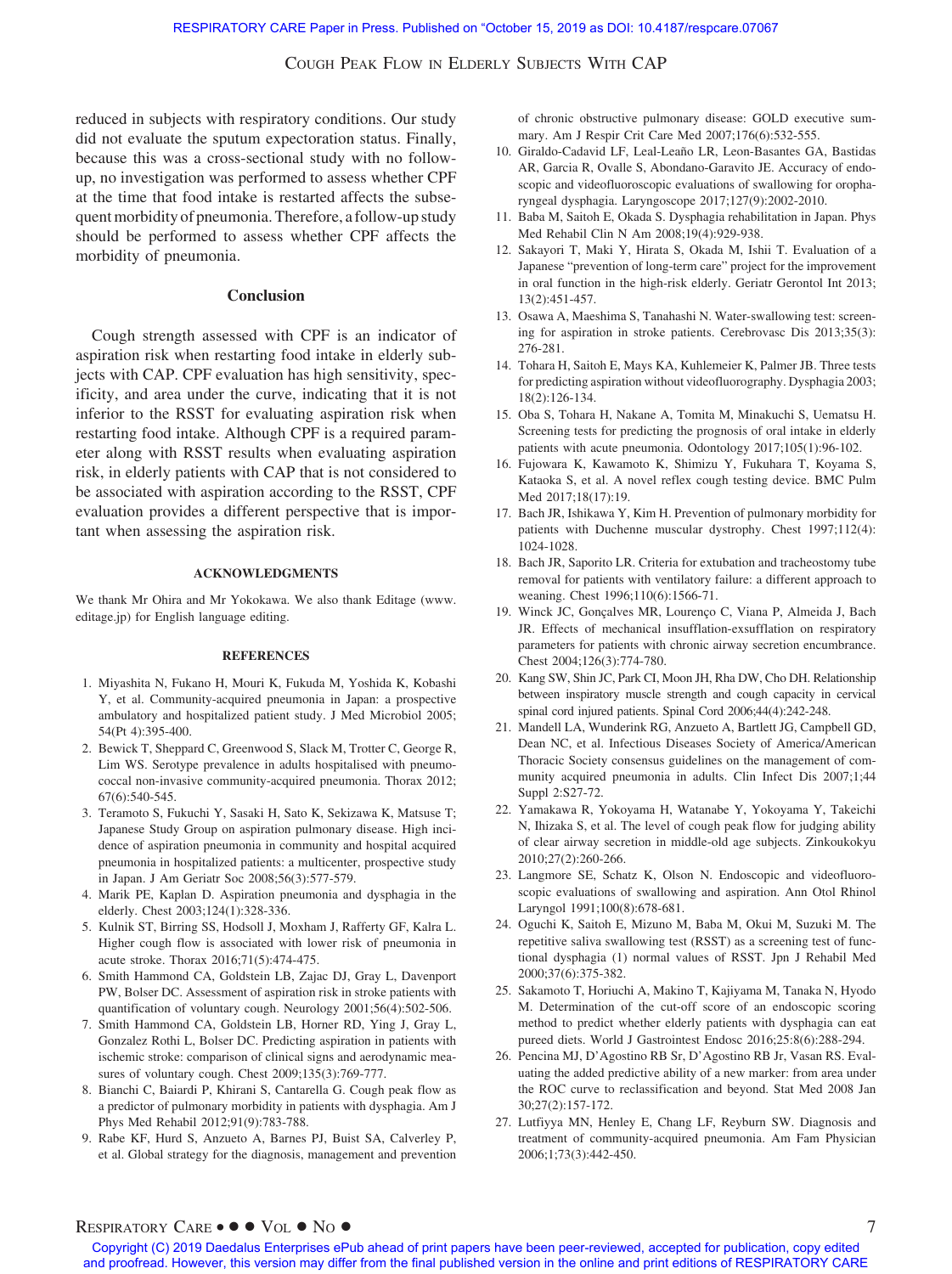reduced in subjects with respiratory conditions. Our study did not evaluate the sputum expectoration status. Finally, because this was a cross-sectional study with no followup, no investigation was performed to assess whether CPF at the time that food intake is restarted affects the subsequent morbidity of pneumonia. Therefore, a follow-up study should be performed to assess whether CPF affects the morbidity of pneumonia.

#### **Conclusion**

Cough strength assessed with CPF is an indicator of aspiration risk when restarting food intake in elderly subjects with CAP. CPF evaluation has high sensitivity, specificity, and area under the curve, indicating that it is not inferior to the RSST for evaluating aspiration risk when restarting food intake. Although CPF is a required parameter along with RSST results when evaluating aspiration risk, in elderly patients with CAP that is not considered to be associated with aspiration according to the RSST, CPF evaluation provides a different perspective that is important when assessing the aspiration risk.

#### **ACKNOWLEDGMENTS**

We thank Mr Ohira and Mr Yokokawa. We also thank Editage [\(www.](http://www.editage.jp) [editage.jp\)](http://www.editage.jp) for English language editing.

#### **REFERENCES**

- 1. Miyashita N, Fukano H, Mouri K, Fukuda M, Yoshida K, Kobashi Y, et al. Community-acquired pneumonia in Japan: a prospective ambulatory and hospitalized patient study. J Med Microbiol 2005; 54(Pt 4):395-400.
- 2. Bewick T, Sheppard C, Greenwood S, Slack M, Trotter C, George R, Lim WS. Serotype prevalence in adults hospitalised with pneumococcal non-invasive community-acquired pneumonia. Thorax 2012; 67(6):540-545.
- 3. Teramoto S, Fukuchi Y, Sasaki H, Sato K, Sekizawa K, Matsuse T; Japanese Study Group on aspiration pulmonary disease. High incidence of aspiration pneumonia in community and hospital acquired pneumonia in hospitalized patients: a multicenter, prospective study in Japan. J Am Geriatr Soc 2008;56(3):577-579.
- 4. Marik PE, Kaplan D. Aspiration pneumonia and dysphagia in the elderly. Chest 2003;124(1):328-336.
- 5. Kulnik ST, Birring SS, Hodsoll J, Moxham J, Rafferty GF, Kalra L. Higher cough flow is associated with lower risk of pneumonia in acute stroke. Thorax 2016;71(5):474-475.
- 6. Smith Hammond CA, Goldstein LB, Zajac DJ, Gray L, Davenport PW, Bolser DC. Assessment of aspiration risk in stroke patients with quantification of voluntary cough. Neurology 2001;56(4):502-506.
- 7. Smith Hammond CA, Goldstein LB, Horner RD, Ying J, Gray L, Gonzalez Rothi L, Bolser DC. Predicting aspiration in patients with ischemic stroke: comparison of clinical signs and aerodynamic measures of voluntary cough. Chest 2009;135(3):769-777.
- 8. Bianchi C, Baiardi P, Khirani S, Cantarella G. Cough peak flow as a predictor of pulmonary morbidity in patients with dysphagia. Am J Phys Med Rehabil 2012;91(9):783-788.
- 9. Rabe KF, Hurd S, Anzueto A, Barnes PJ, Buist SA, Calverley P, et al. Global strategy for the diagnosis, management and prevention

of chronic obstructive pulmonary disease: GOLD executive summary. Am J Respir Crit Care Med 2007;176(6):532-555.

- 10. Giraldo-Cadavid LF, Leal-Leaño LR, Leon-Basantes GA, Bastidas AR, Garcia R, Ovalle S, Abondano-Garavito JE. Accuracy of endoscopic and videofluoroscopic evaluations of swallowing for oropharyngeal dysphagia. Laryngoscope 2017;127(9):2002-2010.
- 11. Baba M, Saitoh E, Okada S. Dysphagia rehabilitation in Japan. Phys Med Rehabil Clin N Am 2008;19(4):929-938.
- 12. Sakayori T, Maki Y, Hirata S, Okada M, Ishii T. Evaluation of a Japanese "prevention of long-term care" project for the improvement in oral function in the high-risk elderly. Geriatr Gerontol Int 2013; 13(2):451-457.
- 13. Osawa A, Maeshima S, Tanahashi N. Water-swallowing test: screening for aspiration in stroke patients. Cerebrovasc Dis 2013;35(3): 276-281.
- 14. Tohara H, Saitoh E, Mays KA, Kuhlemeier K, Palmer JB. Three tests for predicting aspiration without videofluorography. Dysphagia 2003; 18(2):126-134.
- 15. Oba S, Tohara H, Nakane A, Tomita M, Minakuchi S, Uematsu H. Screening tests for predicting the prognosis of oral intake in elderly patients with acute pneumonia. Odontology 2017;105(1):96-102.
- 16. Fujowara K, Kawamoto K, Shimizu Y, Fukuhara T, Koyama S, Kataoka S, et al. A novel reflex cough testing device. BMC Pulm Med 2017;18(17):19.
- 17. Bach JR, Ishikawa Y, Kim H. Prevention of pulmonary morbidity for patients with Duchenne muscular dystrophy. Chest 1997;112(4): 1024-1028.
- 18. Bach JR, Saporito LR. Criteria for extubation and tracheostomy tube removal for patients with ventilatory failure: a different approach to weaning. Chest 1996;110(6):1566-71.
- 19. Winck JC, Gonçalves MR, Lourenço C, Viana P, Almeida J, Bach JR. Effects of mechanical insufflation-exsufflation on respiratory parameters for patients with chronic airway secretion encumbrance. Chest 2004;126(3):774-780.
- 20. Kang SW, Shin JC, Park CI, Moon JH, Rha DW, Cho DH. Relationship between inspiratory muscle strength and cough capacity in cervical spinal cord injured patients. Spinal Cord 2006;44(4):242-248.
- 21. Mandell LA, Wunderink RG, Anzueto A, Bartlett JG, Campbell GD, Dean NC, et al. Infectious Diseases Society of America/American Thoracic Society consensus guidelines on the management of community acquired pneumonia in adults. Clin Infect Dis 2007;1;44 Suppl 2:S27-72.
- 22. Yamakawa R, Yokoyama H, Watanabe Y, Yokoyama Y, Takeichi N, Ihizaka S, et al. The level of cough peak flow for judging ability of clear airway secretion in middle-old age subjects. Zinkoukokyu 2010;27(2):260-266.
- 23. Langmore SE, Schatz K, Olson N. Endoscopic and videofluoroscopic evaluations of swallowing and aspiration. Ann Otol Rhinol Laryngol 1991;100(8):678-681.
- 24. Oguchi K, Saitoh E, Mizuno M, Baba M, Okui M, Suzuki M. The repetitive saliva swallowing test (RSST) as a screening test of functional dysphagia (1) normal values of RSST. Jpn J Rehabil Med 2000;37(6):375-382.
- 25. Sakamoto T, Horiuchi A, Makino T, Kajiyama M, Tanaka N, Hyodo M. Determination of the cut-off score of an endoscopic scoring method to predict whether elderly patients with dysphagia can eat pureed diets. World J Gastrointest Endosc 2016;25:8(6):288-294.
- 26. Pencina MJ, D'Agostino RB Sr, D'Agostino RB Jr, Vasan RS. Evaluating the added predictive ability of a new marker: from area under the ROC curve to reclassification and beyond. Stat Med 2008 Jan 30;27(2):157-172.
- 27. Lutfiyya MN, Henley E, Chang LF, Reyburn SW. Diagnosis and treatment of community-acquired pneumonia. Am Fam Physician 2006;1;73(3):442-450.

# RESPIRATORY CARE • ● ● VOL ● NO ● 7 7